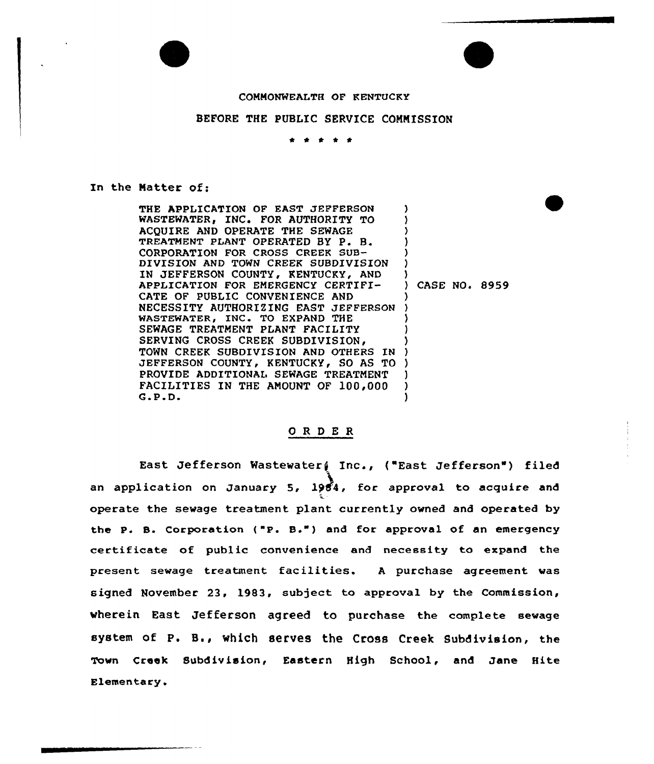#### COMMONWEALTH OF KENTUCKY

# BEFORE THE PUBLIC SERVICE COMMISSION

. . . . .

### In the Hatter of:

THE APPLICATION OF EAST JEFFERSON WASTEWATER, INC. FOR AUTHORITY TO ACQUIRE AND OPERATE THE SEWAGE TREATMENT PLANT OPERATED BY P. B. CORPORATION FOR CROSS CREEK SUB-DIVISION AND TOWN CREEK SUBDIVISION IN JEFFERSON COUNTY, KENTUCKY, AND APPLICATION FOR EMERGENCY CERTIFI-CATE OF PUBLIC CONVENIENCE AND NECESSITY AUTHORIZING EAST JEFFERSON WASTEWATER, INC. TO EXPAND THE SEWAGE TREATMENT PLANT FACILITY SERVING CROSS CREEK SUBDIVISION. TOWN CREEK SUBDIVISION AND OTHERS IN JEFFERSON COUNTY, KENTUCKY, SO AS TO PROVIDE ADDITIONAL SEWAGE TREATMENT FACILITIES IN THE AMOUNT OF 100,000  $G.P.D.$ ) ) ) ) ) ) ) CASE NO. 8959 ) ) ) ) ) ) )  $\mathbf{I}$  $\mathbf{I}$ )

## ORDER

East Jefferson Wastewateri Inc., ("East Jefferson") filed an application on January 5, 1964, for approval to acquire and operate the sewage treatment plant currently owned and operated by the P. S. Corporation ( "P. B.") and for approval of an emergency certificate of public convenience and necessity to expand the present sewage treatment facilities. <sup>A</sup> purchase agreement was signed November 23. 1983, subject to approval by the Commission, wherein East Jefferson agreed to purchase the complete sewage system of P. B., which serves the Cross Creek Subdivision, the Town Creek Subdivision, Eastern High School, and Jane Hite Elementary.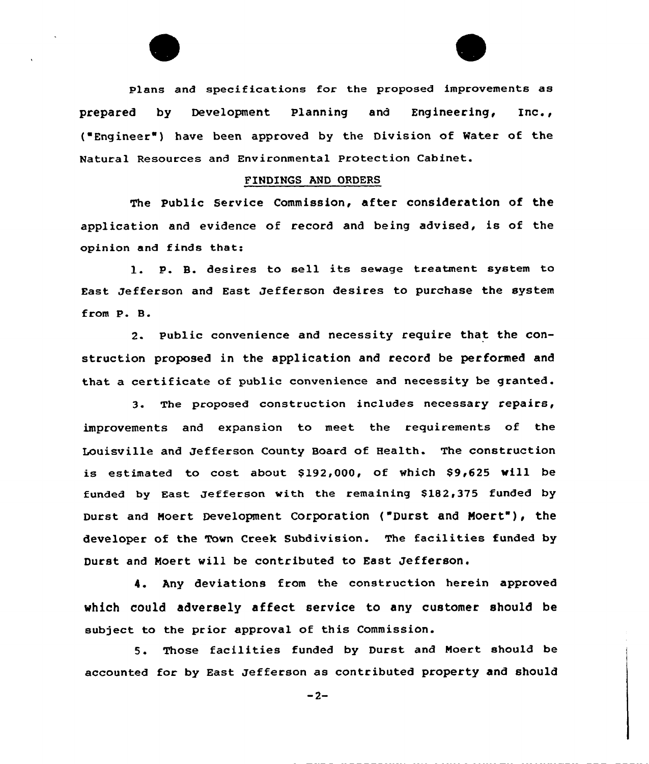

plans and specif ications for the proposed improvements as prepared by Development Planning and Engineering, Inc., ("Engineer") have been approved by the Division of Water of the Natural Resources and Environmental Protection Cabinet.

#### FINDINGS AND ORDERS

The Public Service Commission, after consideration of the application and evidence of record and being advised, is of the opinion and finds that:

l. P. B. desires to sell its sewage treatment system to East Jefferson and East Jefferson desires to purchase the system from P. B.

2. Public convenience and necessity require that the construction proposed in the application and record be performed and that a certificate of public convenience and necessity be granted.

3. The proposed construction includes necessary repairs, improvements and expansion to meet the requirements of the Louisville and Jefferson County Board of Health. The construction is estimated to cost about  $$192,000$ , of which  $$9,625$  will be funded by East Jefferson with the remaining \$182,375 funded by Durst and Moert Development Corporation ("Durst and Moert"), the developer of the Town Creek Subdivision. The facilities funded by Durst and Moert will be contributed to East Jefferson.

4. Any deviations from the construction herein approved which could adversely affect service to any customer should be subject to the prior approval of this Commission.

5. Those facilities funded by Durst and Moert should be accounted for by East Jefferson as contributed property and should

 $-2-$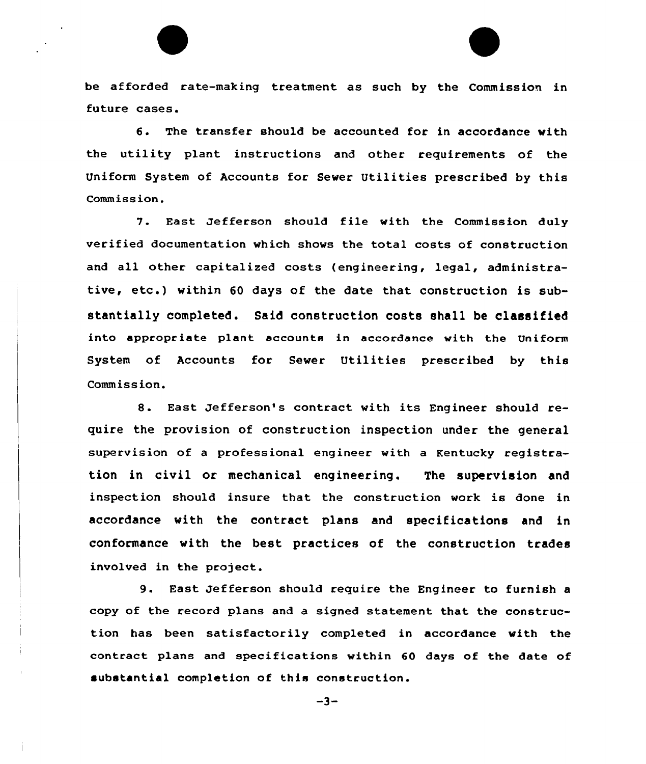be af forded rate-making treatment as such by the Commission in future cases.

6. The transfer should be accounted for in accordance with the utility plant instructions and other requirements of the Uniform System of Accounts for Sewer Utilities prescribed by this Commission.

7. East Jefferson should file with the Commission duly verified documentation which shows the total costs of construction and all other capitalized costs (engineering, legal, administrative, etc.) within 6D days of the date that construction is substantially completed. Said construction costs shall be classified into appropriate plant accounts in accordance with the Uniform System of Accounts for Sever Utilities prescribed by this Commission.

8. East Jefferson's contract with its Engineer should require the provision of construction inspection under the general supervision of a professional engineer with a Kentucky registration in civil or mechanical engineering. The supervision and inspection should insure that the construction work is done in accordance vith the contract plans and specifications and in conformance with the best practices of the construction trades involved in the project.

9. East. Jefferson should require the Engineer to furnish <sup>a</sup> copy of the record plans and a signed statement that the construction has been satisfactorily completed in accordance with the contract plans and specifications within 60 days of the date of substantial completion of this construction.

 $-3-$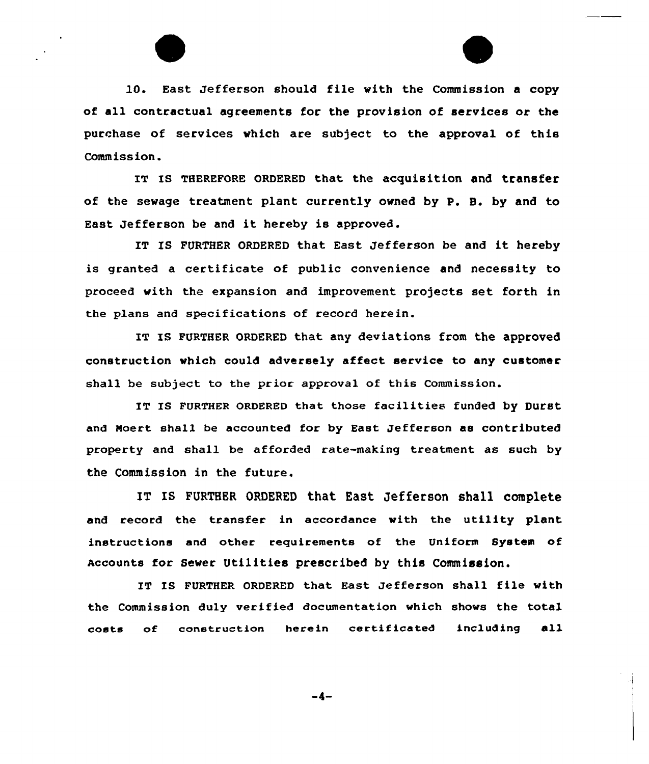

10. East Jefferson should file with the Commission a copy of all contractual agreements for the provision of services or the purchase of services which are subject to the approval of this Commission.

IT Is THEREFoRE QRDERED that the acquisition and transfer of the sewage treatment plant currently owned by P. B. by and to East Jefferson be and it hereby is appraved.

IT IS FURTHER ORDERED that East Jefferson be and it hereby is granted a certificate of public convenience and necessity to proceed with the expansion and improvement projects set forth in the plans and specifications of record herein.

IT IS FURTHER ORDERED that any deviations from the approved construction vhich could adversely affect service to any customer shall be subject to the prior approval of this Commission.

IT Is FURTHER oRDERED that those facilities funded by Durst and Moert shall be accounted for by East Jefferson as contributed property and shall be afforded rate-making treatment as such by the Commission in the future.

IT IS FURTHER ORDERED that East Jefferson shall complete and record the transfer in accordance vith the utility plant instructions and other requirements of the Uniform System of Accounts for sever Utilities prescribed by this Commission.

IT IS FURTHER ORDERED that East Jefferson shall file with the Commission duly verified documentation which shows the total costs of construction herein certificated including all

 $-4-$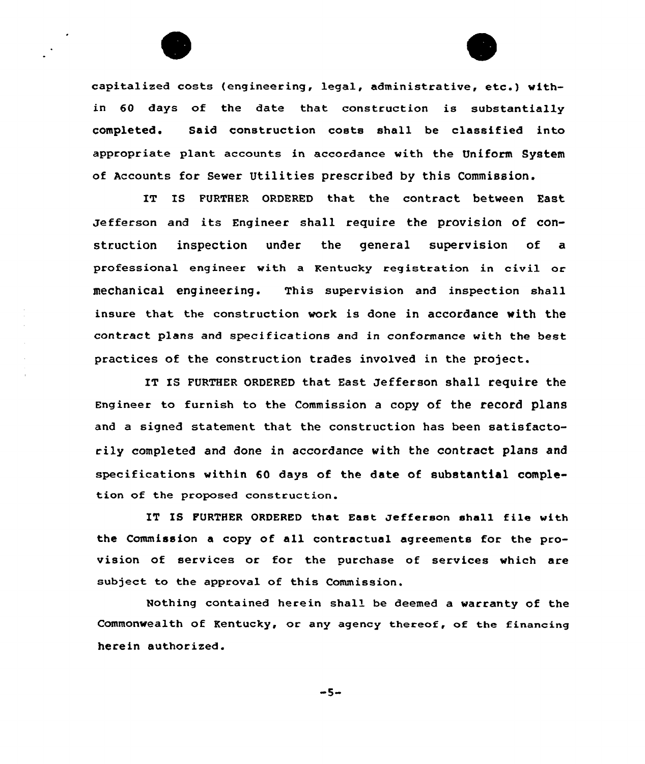

capitalized costs (engineering, legal, administrative, etc.) within 60 days of the date that construction is substantially completed. Said construction costs shall be classified into appropriate plant accounts in accordance with the Uniform System of Accounts for Sewer Utilities prescribed by this Commission.

IT Is FURTHER GRDERED that the contract between East Jefferson and its Engineer shall require the provision of construction inspection under the general supervision of a professional engineer with a Kentucky registration in civil or mechanical engineering. This supervision and inspection shall insure that the construction work is done in accordance with the contract plans and specifications and in conformance with the best practices of the construction trades involved in the project.

IT IS FURTHER ORDERED that East Jefferson shall require the Engineer to furnish to the Commission a copy of the record plans and a signed statement that the construction has been satisfactorily completed and done in accordance with the contract plans and specifications within 60 days of the date of substantial completion of the proposed construction.

IT IS FURTHER ORDERED that East Jefferson shall file with the Commission a copy of all contractual agreements for the provision of services or for the purchase of services which are subject to the approval of this Commission.

Nothing contained herein shall be deemed a warranty of the Commonwealth of Kentucky, or any agency thereof, of the financing herein authorized.

 $-5-$